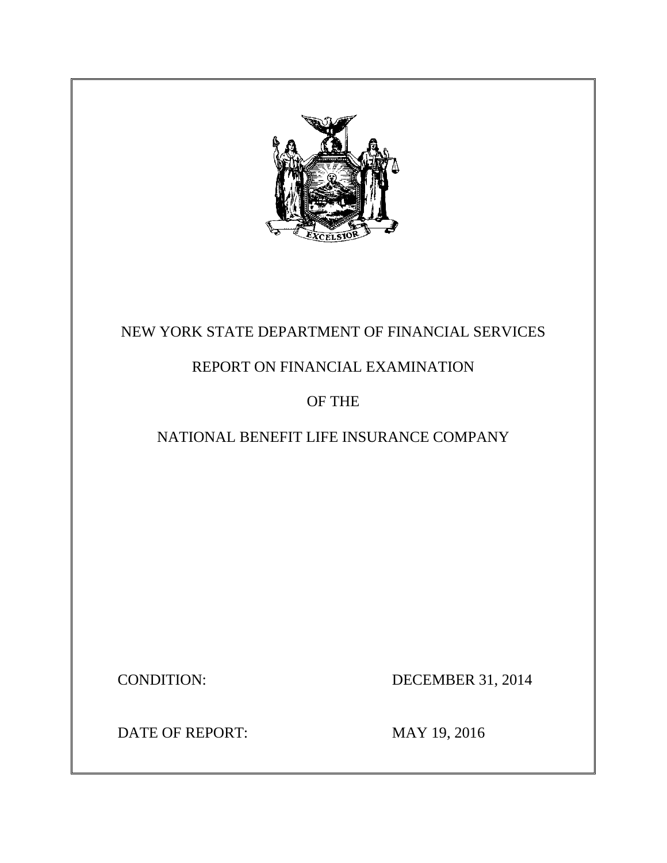

# NEW YORK STATE DEPARTMENT OF FINANCIAL SERVICES

# REPORT ON FINANCIAL EXAMINATION

# OF THE

# NATIONAL BENEFIT LIFE INSURANCE COMPANY

**CONDITION:** 

DECEMBER 31, 2014

DATE OF REPORT: MAY 19, 2016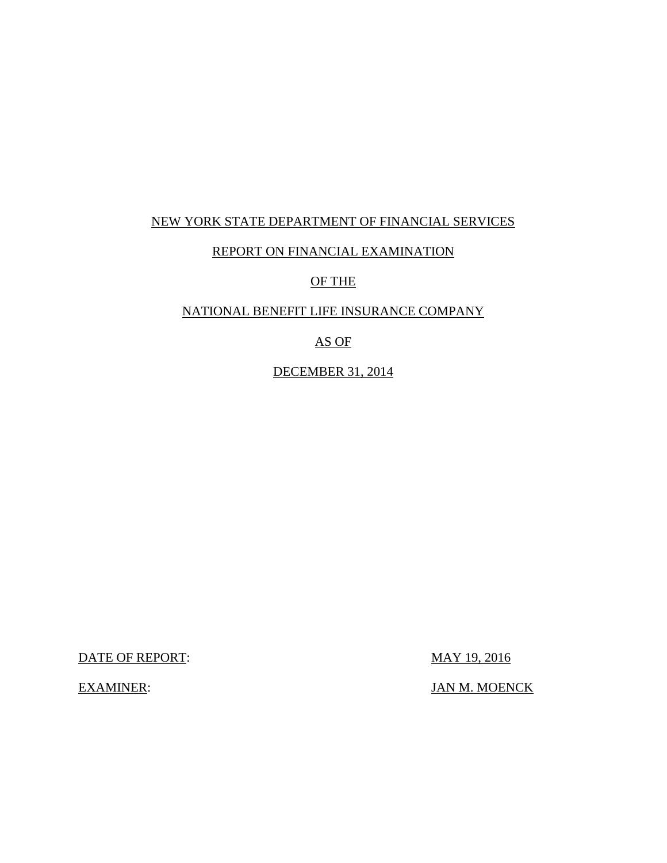## NEW YORK STATE DEPARTMENT OF FINANCIAL SERVICES

### REPORT ON FINANCIAL EXAMINATION

#### OF THE

## NATIONAL BENEFIT LIFE INSURANCE COMPANY

## AS OF

### DECEMBER 31, 2014

DATE OF REPORT: MAY 19, 2016

JAN M. MOENCK

**EXAMINER:**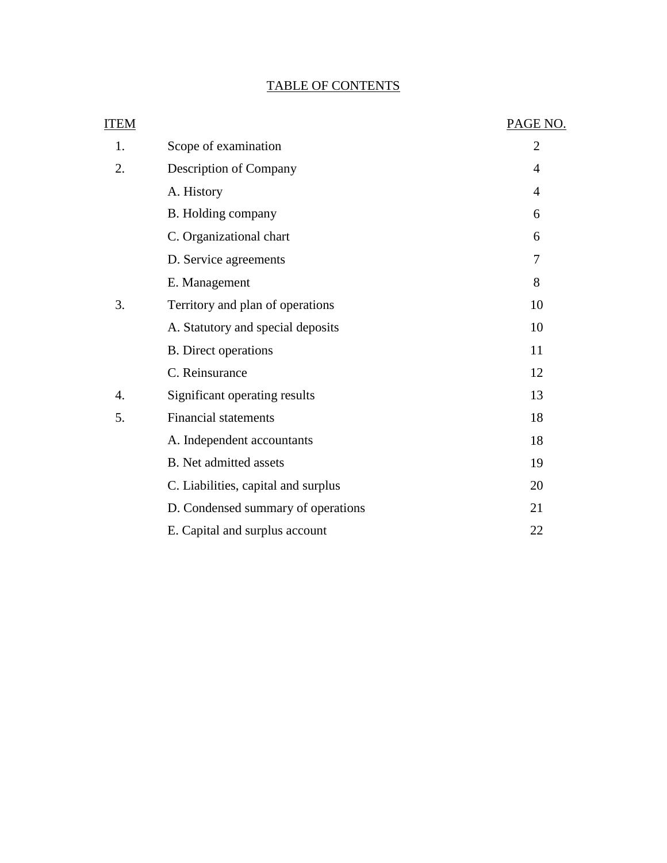## TABLE OF CONTENTS

| <b>ITEM</b> |                                     | PAGE NO.       |
|-------------|-------------------------------------|----------------|
| 1.          | Scope of examination                | $\overline{2}$ |
| 2.          | Description of Company              | $\overline{4}$ |
|             | A. History                          | $\overline{4}$ |
|             | B. Holding company                  | 6              |
|             | C. Organizational chart             | 6              |
|             | D. Service agreements               | 7              |
|             | E. Management                       | 8              |
| 3.          | Territory and plan of operations    | 10             |
|             | A. Statutory and special deposits   | 10             |
|             | <b>B.</b> Direct operations         | 11             |
|             | C. Reinsurance                      | 12             |
| 4.          | Significant operating results       | 13             |
| 5.          | <b>Financial statements</b>         | 18             |
|             | A. Independent accountants          | 18             |
|             | B. Net admitted assets              | 19             |
|             | C. Liabilities, capital and surplus | 20             |
|             | D. Condensed summary of operations  | 21             |
|             | E. Capital and surplus account      | 22             |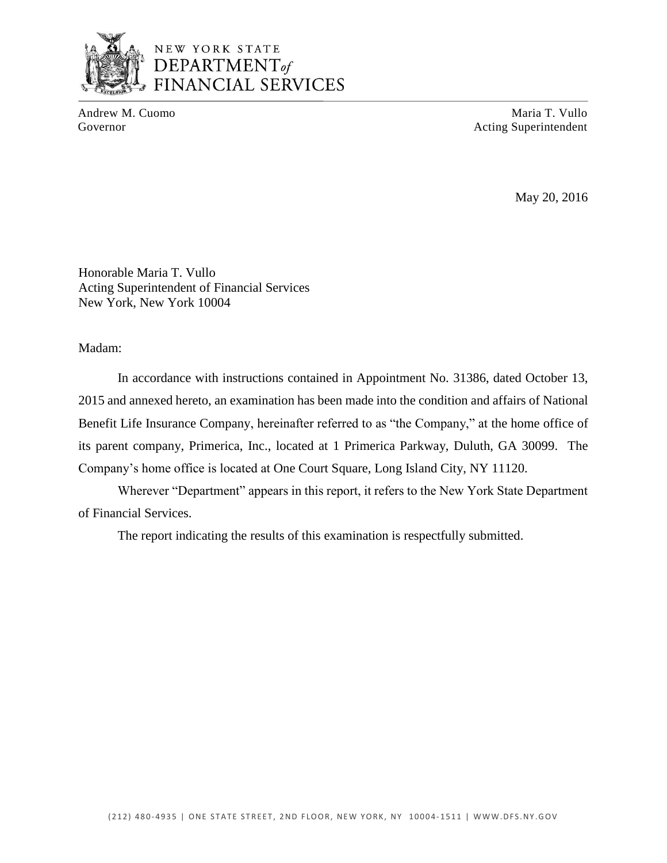

## NEW YORK STATE DEPARTMENT<sub>of</sub> **FINANCIAL SERVICES**

Andrew M. Cuomo **Maria T. Vullo** Maria T. Vullo Governor **Acting Superintendent** Acting Superintendent

May 20, 2016

Honorable Maria T. Vullo Acting Superintendent of Financial Services New York, New York 10004

Madam:

 2015 and annexed hereto, an examination has been made into the condition and affairs of National Benefit Life Insurance Company, hereinafter referred to as "the Company," at the home office of its parent company, Primerica, Inc., located at 1 Primerica Parkway, Duluth, GA 30099. The Company's home office is located at One Court Square, Long Island City, NY 11120. In accordance with instructions contained in Appointment No. 31386, dated October 13,

 Wherever "Department" appears in this report, it refers to the New York State Department of Financial Services.

The report indicating the results of this examination is respectfully submitted.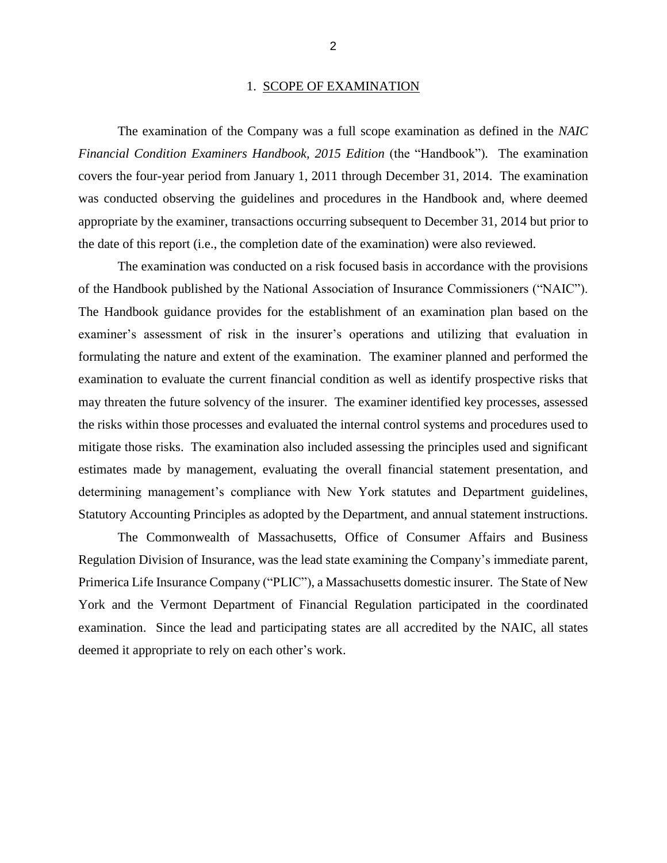#### 1. SCOPE OF EXAMINATION

 The examination of the Company was a full scope examination as defined in the *NAIC Financial Condition Examiners Handbook, 2015 Edition* (the "Handbook"). The examination covers the four-year period from January 1, 2011 through December 31, 2014. The examination was conducted observing the guidelines and procedures in the Handbook and, where deemed appropriate by the examiner, transactions occurring subsequent to December 31, 2014 but prior to the date of this report (i.e., the completion date of the examination) were also reviewed.

 examiner's assessment of risk in the insurer's operations and utilizing that evaluation in formulating the nature and extent of the examination. The examiner planned and performed the examination to evaluate the current financial condition as well as identify prospective risks that may threaten the future solvency of the insurer. The examiner identified key processes, assessed mitigate those risks. The examination also included assessing the principles used and significant estimates made by management, evaluating the overall financial statement presentation, and Statutory Accounting Principles as adopted by the Department, and annual statement instructions. The examination was conducted on a risk focused basis in accordance with the provisions of the Handbook published by the National Association of Insurance Commissioners ("NAIC"). The Handbook guidance provides for the establishment of an examination plan based on the the risks within those processes and evaluated the internal control systems and procedures used to determining management's compliance with New York statutes and Department guidelines,

 The Commonwealth of Massachusetts, Office of Consumer Affairs and Business Regulation Division of Insurance, was the lead state examining the Company's immediate parent, Primerica Life Insurance Company ("PLIC"), a Massachusetts domestic insurer. The State of New York and the Vermont Department of Financial Regulation participated in the coordinated examination. Since the lead and participating states are all accredited by the NAIC, all states deemed it appropriate to rely on each other's work.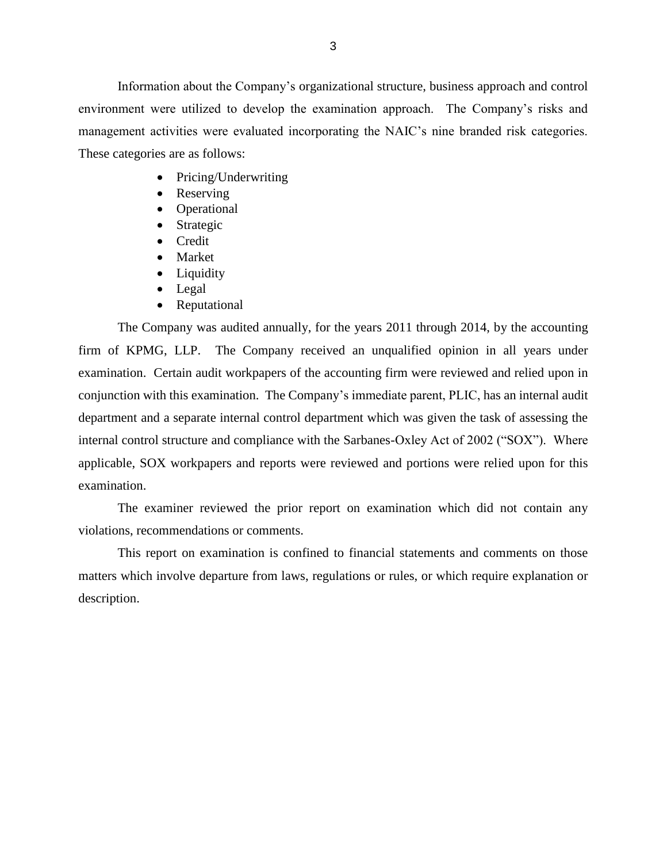environment were utilized to develop the examination approach. The Company's risks and management activities were evaluated incorporating the NAIC's nine branded risk categories. These categories are as follows: Information about the Company's organizational structure, business approach and control

- Pricing/Underwriting
- Reserving
- Operational
- Strategic
- Credit
- Market
- Liquidity
- Legal
- Reputational

 The Company was audited annually, for the years 2011 through 2014, by the accounting firm of KPMG, LLP. The Company received an unqualified opinion in all years under examination. Certain audit workpapers of the accounting firm were reviewed and relied upon in conjunction with this examination. The Company's immediate parent, PLIC, has an internal audit department and a separate internal control department which was given the task of assessing the internal control structure and compliance with the Sarbanes-Oxley Act of 2002 ("SOX"). Where applicable, SOX workpapers and reports were reviewed and portions were relied upon for this examination. examination. The examiner reviewed the prior report on examination which did not contain any

violations, recommendations or comments.

 matters which involve departure from laws, regulations or rules, or which require explanation or This report on examination is confined to financial statements and comments on those description.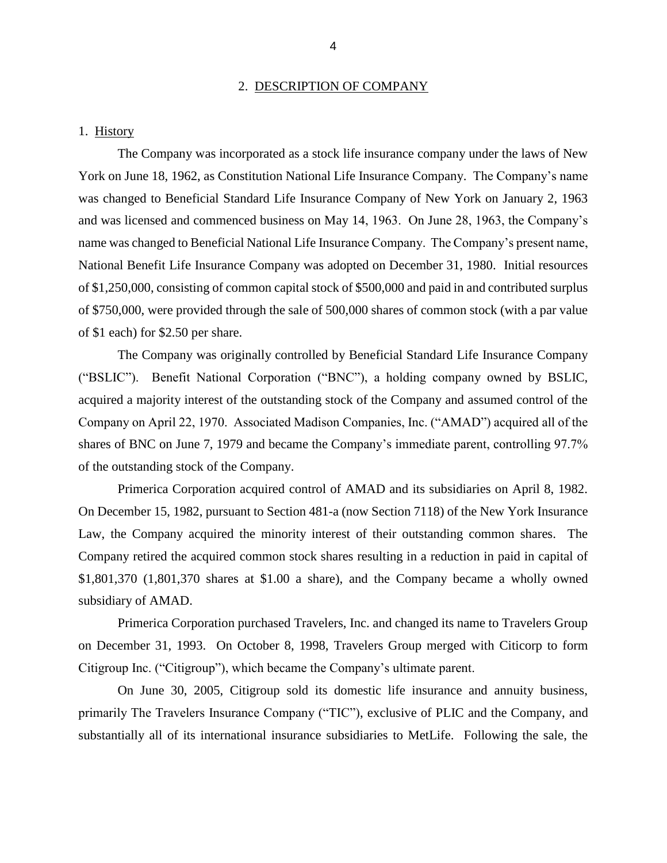#### 2. DESCRIPTION OF COMPANY

#### 1. History

 York on June 18, 1962, as Constitution National Life Insurance Company. The Company's name was changed to Beneficial Standard Life Insurance Company of New York on January 2, 1963 and was licensed and commenced business on May 14, 1963. On June 28, 1963, the Company's name was changed to Beneficial National Life Insurance Company. The Company's present name, National Benefit Life Insurance Company was adopted on December 31, 1980. Initial resources of \$750,000, were provided through the sale of 500,000 shares of common stock (with a par value of \$1 each) for \$2.50 per share. The Company was incorporated as a stock life insurance company under the laws of New of \$1,250,000, consisting of common capital stock of \$500,000 and paid in and contributed surplus

 ("BSLIC"). Benefit National Corporation ("BNC"), a holding company owned by BSLIC, acquired a majority interest of the outstanding stock of the Company and assumed control of the Company on April 22, 1970. Associated Madison Companies, Inc. ("AMAD") acquired all of the shares of BNC on June 7, 1979 and became the Company's immediate parent, controlling 97.7% The Company was originally controlled by Beneficial Standard Life Insurance Company of the outstanding stock of the Company.

 Primerica Corporation acquired control of AMAD and its subsidiaries on April 8, 1982. On December 15, 1982, pursuant to Section 481-a (now Section 7118) of the New York Insurance Law, the Company acquired the minority interest of their outstanding common shares. The Company retired the acquired common stock shares resulting in a reduction in paid in capital of \$1,801,370 (1,801,370 shares at \$1.00 a share), and the Company became a wholly owned subsidiary of AMAD.

 on December 31, 1993. On October 8, 1998, Travelers Group merged with Citicorp to form Primerica Corporation purchased Travelers, Inc. and changed its name to Travelers Group Citigroup Inc. ("Citigroup"), which became the Company's ultimate parent.

 On June 30, 2005, Citigroup sold its domestic life insurance and annuity business, primarily The Travelers Insurance Company ("TIC"), exclusive of PLIC and the Company, and substantially all of its international insurance subsidiaries to MetLife. Following the sale, the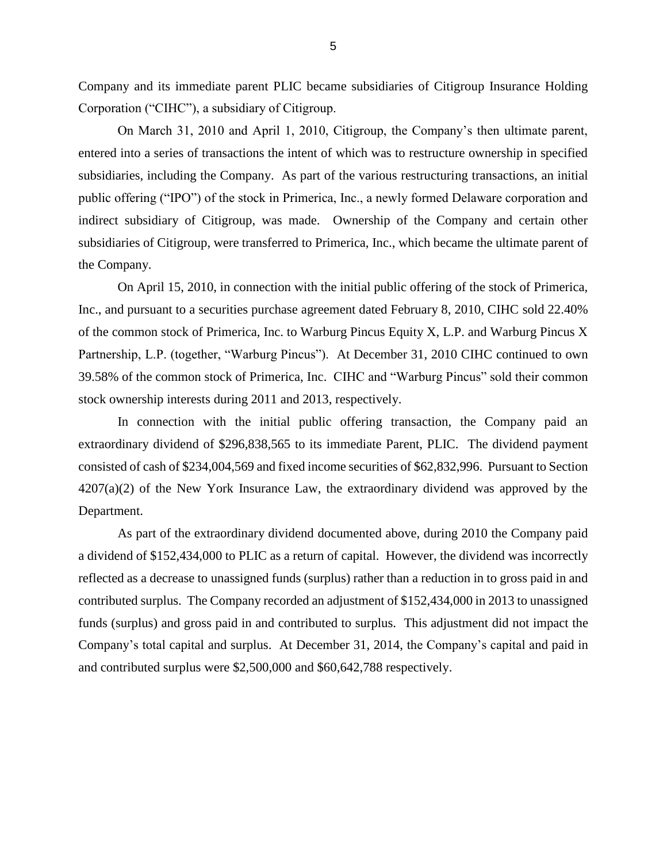Company and its immediate parent PLIC became subsidiaries of Citigroup Insurance Holding Corporation ("CIHC"), a subsidiary of Citigroup.

 On March 31, 2010 and April 1, 2010, Citigroup, the Company's then ultimate parent, subsidiaries, including the Company. As part of the various restructuring transactions, an initial public offering ("IPO") of the stock in Primerica, Inc., a newly formed Delaware corporation and indirect subsidiary of Citigroup, was made. Ownership of the Company and certain other subsidiaries of Citigroup, were transferred to Primerica, Inc., which became the ultimate parent of entered into a series of transactions the intent of which was to restructure ownership in specified the Company.

 Inc., and pursuant to a securities purchase agreement dated February 8, 2010, CIHC sold 22.40% of the common stock of Primerica, Inc. to Warburg Pincus Equity X, L.P. and Warburg Pincus X Partnership, L.P. (together, "Warburg Pincus"). At December 31, 2010 CIHC continued to own 39.58% of the common stock of Primerica, Inc. CIHC and "Warburg Pincus" sold their common On April 15, 2010, in connection with the initial public offering of the stock of Primerica, stock ownership interests during 2011 and 2013, respectively.

 extraordinary dividend of \$296,838,565 to its immediate Parent, PLIC. The dividend payment 4207(a)(2) of the New York Insurance Law, the extraordinary dividend was approved by the Department. Department. As part of the extraordinary dividend documented above, during 2010 the Company paid In connection with the initial public offering transaction, the Company paid an consisted of cash of \$234,004,569 and fixed income securities of \$62,832,996. Pursuant to Section

 a dividend of \$152,434,000 to PLIC as a return of capital. However, the dividend was incorrectly reflected as a decrease to unassigned funds (surplus) rather than a reduction in to gross paid in and contributed surplus. The Company recorded an adjustment of \$152,434,000 in 2013 to unassigned funds (surplus) and gross paid in and contributed to surplus. This adjustment did not impact the Company's total capital and surplus. At December 31, 2014, the Company's capital and paid in and contributed surplus were \$2,500,000 and \$60,642,788 respectively.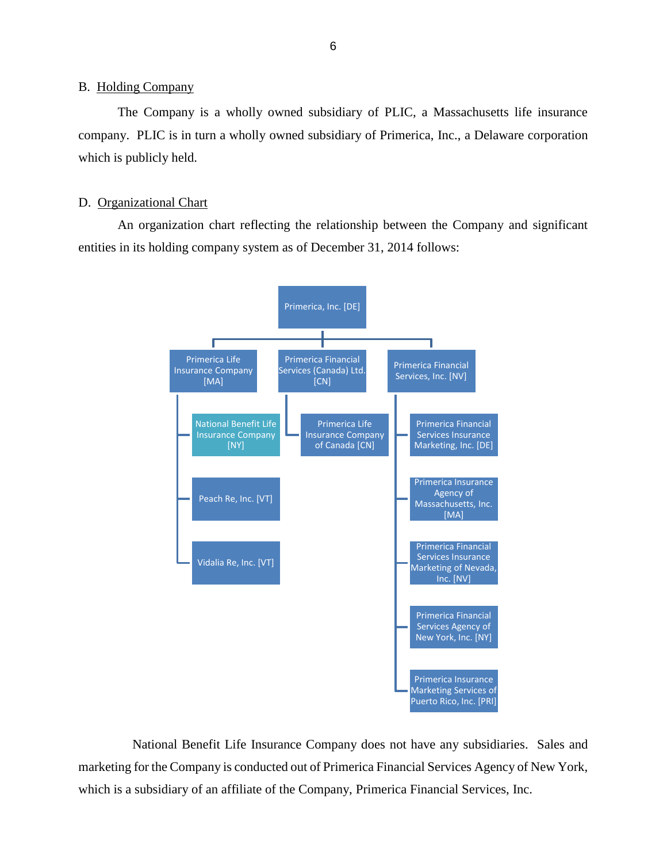#### <span id="page-8-0"></span>**B.** Holding Company

 company. PLIC is in turn a wholly owned subsidiary of Primerica, Inc., a Delaware corporation The Company is a wholly owned subsidiary of PLIC, a Massachusetts life insurance which is publicly held.

#### D. Organizational Chart

 An organization chart reflecting the relationship between the Company and significant entities in its holding company system as of December 31, 2014 follows:



 National Benefit Life Insurance Company does not have any subsidiaries. Sales and marketing for the Company is conducted out of Primerica Financial Services Agency of New York, which is a subsidiary of an affiliate of the Company, Primerica Financial Services, Inc.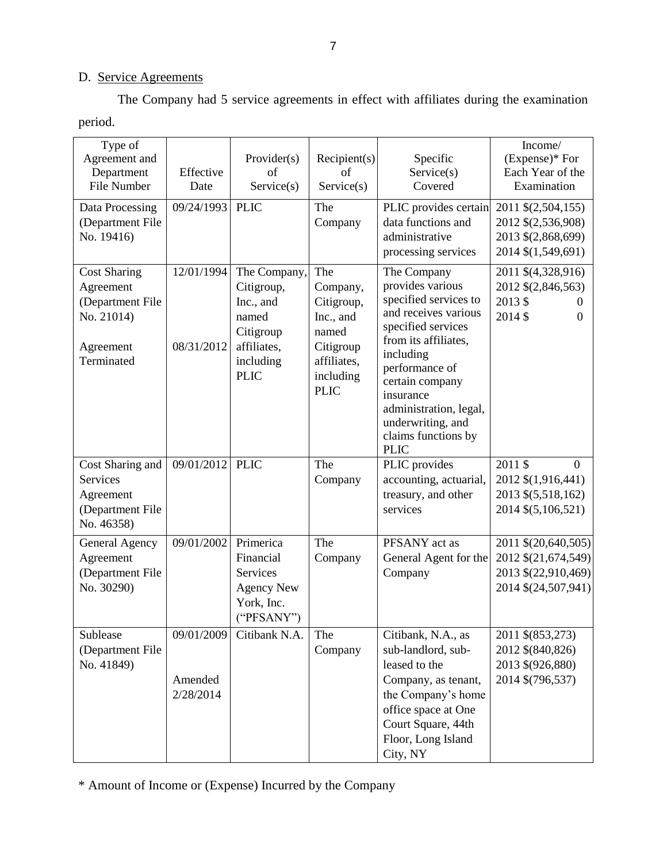## D. Service Agreements

The Company had 5 service agreements in effect with affiliates during the examination period.

| Type of<br>Agreement and<br>Department<br>File Number<br>Data Processing<br>(Department File<br>No. 19416) | Effective<br>Date<br>09/24/1993    | Provider(s)<br>of<br>Service(s)<br><b>PLIC</b>                                                           | Recipient(s)<br>of<br>Service(s)<br>The<br>Company                                                          | Specific<br>Service(s)<br>Covered<br>PLIC provides certain<br>data functions and<br>administrative<br>processing services                                                                                                                                                          | Income/<br>$(Express)*$ For<br>Each Year of the<br>Examination<br>2011 \$(2,504,155)<br>2012 \$(2,536,908)<br>2013 \$(2,868,699)<br>2014 \$(1,549,691) |
|------------------------------------------------------------------------------------------------------------|------------------------------------|----------------------------------------------------------------------------------------------------------|-------------------------------------------------------------------------------------------------------------|------------------------------------------------------------------------------------------------------------------------------------------------------------------------------------------------------------------------------------------------------------------------------------|--------------------------------------------------------------------------------------------------------------------------------------------------------|
| <b>Cost Sharing</b><br>Agreement<br>(Department File<br>No. 21014)<br>Agreement<br>Terminated              | 12/01/1994<br>08/31/2012           | The Company,<br>Citigroup,<br>Inc., and<br>named<br>Citigroup<br>affiliates,<br>including<br><b>PLIC</b> | The<br>Company,<br>Citigroup,<br>Inc., and<br>named<br>Citigroup<br>affiliates,<br>including<br><b>PLIC</b> | The Company<br>provides various<br>specified services to<br>and receives various<br>specified services<br>from its affiliates,<br>including<br>performance of<br>certain company<br>insurance<br>administration, legal,<br>underwriting, and<br>claims functions by<br><b>PLIC</b> | 2011 \$(4,328,916)<br>2012 \$(2,846,563)<br>2013\$<br>2014 \$<br>$\Omega$                                                                              |
| Cost Sharing and<br>Services<br>Agreement<br>(Department File<br>No. 46358)                                | 09/01/2012                         | <b>PLIC</b>                                                                                              | The<br>Company                                                                                              | PLIC provides<br>accounting, actuarial,<br>treasury, and other<br>services                                                                                                                                                                                                         | 2011 \$<br>$\Omega$<br>2012 \$(1,916,441)<br>2013 \$(5,518,162)<br>2014 \$(5,106,521)                                                                  |
| General Agency<br>Agreement<br>(Department File<br>No. 30290)                                              | 09/01/2002                         | Primerica<br>Financial<br>Services<br><b>Agency New</b><br>York, Inc.<br>("PFSANY")                      | The<br>Company                                                                                              | PFSANY act as<br>General Agent for the<br>Company                                                                                                                                                                                                                                  | 2011 \$(20,640,505)<br>2012 \$(21,674,549)<br>2013 \$(22,910,469)<br>2014 \$(24,507,941)                                                               |
| Sublease<br>(Department File<br>No. 41849)                                                                 | 09/01/2009<br>Amended<br>2/28/2014 | Citibank N.A.                                                                                            | The<br>Company                                                                                              | Citibank, N.A., as<br>sub-landlord, sub-<br>leased to the<br>Company, as tenant,<br>the Company's home<br>office space at One<br>Court Square, 44th<br>Floor, Long Island<br>City, NY                                                                                              | 2011 \$(853,273)<br>2012 \$(840,826)<br>2013 \$(926,880)<br>2014 \$(796,537)                                                                           |

\* Amount of Income or (Expense) Incurred by the Company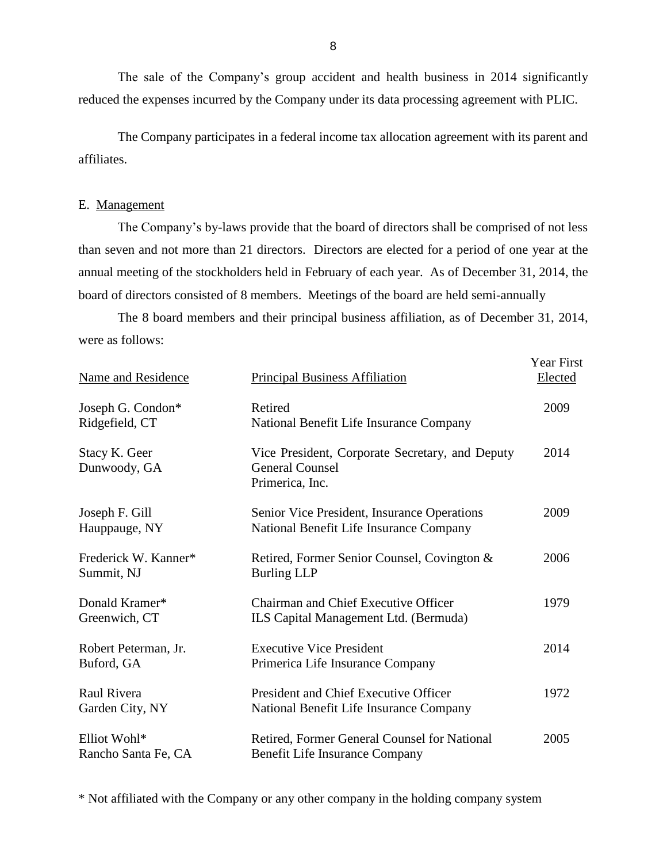The sale of the Company's group accident and health business in 2014 significantly reduced the expenses incurred by the Company under its data processing agreement with PLIC.

 The Company participates in a federal income tax allocation agreement with its parent and affiliates.

#### E. Management

 The Company's by-laws provide that the board of directors shall be comprised of not less than seven and not more than 21 directors. Directors are elected for a period of one year at the annual meeting of the stockholders held in February of each year. As of December 31, 2014, the board of directors consisted of 8 members. Meetings of the board are held semi-annually

 The 8 board members and their principal business affiliation, as of December 31, 2014, were as follows:

| <b>Name and Residence</b>           | <b>Principal Business Affiliation</b>                                                        | <b>Year First</b><br>Elected |
|-------------------------------------|----------------------------------------------------------------------------------------------|------------------------------|
| Joseph G. Condon*<br>Ridgefield, CT | Retired<br>National Benefit Life Insurance Company                                           | 2009                         |
| Stacy K. Geer<br>Dunwoody, GA       | Vice President, Corporate Secretary, and Deputy<br><b>General Counsel</b><br>Primerica, Inc. | 2014                         |
| Joseph F. Gill<br>Hauppauge, NY     | Senior Vice President, Insurance Operations<br>National Benefit Life Insurance Company       | 2009                         |
| Frederick W. Kanner*<br>Summit, NJ  | Retired, Former Senior Counsel, Covington &<br><b>Burling LLP</b>                            | 2006                         |
| Donald Kramer*<br>Greenwich, CT     | <b>Chairman and Chief Executive Officer</b><br>ILS Capital Management Ltd. (Bermuda)         | 1979                         |
| Robert Peterman, Jr.<br>Buford, GA  | <b>Executive Vice President</b><br>Primerica Life Insurance Company                          | 2014                         |
| Raul Rivera<br>Garden City, NY      | <b>President and Chief Executive Officer</b><br>National Benefit Life Insurance Company      | 1972                         |
| Elliot Wohl*<br>Rancho Santa Fe, CA | Retired, Former General Counsel for National<br>Benefit Life Insurance Company               | 2005                         |

\* Not affiliated with the Company or any other company in the holding company system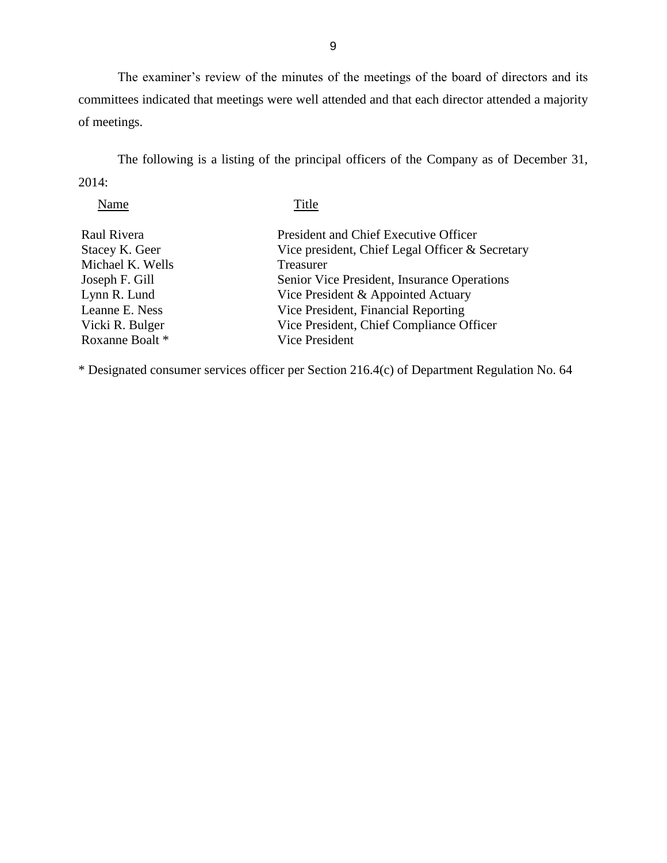committees indicated that meetings were well attended and that each director attended a majority The examiner's review of the minutes of the meetings of the board of directors and its of meetings.

 The following is a listing of the principal officers of the Company as of December 31, 2014:

| Name             | Title                                           |
|------------------|-------------------------------------------------|
| Raul Rivera      | President and Chief Executive Officer           |
| Stacey K. Geer   | Vice president, Chief Legal Officer & Secretary |
| Michael K. Wells | Treasurer                                       |
| Joseph F. Gill   | Senior Vice President, Insurance Operations     |
| Lynn R. Lund     | Vice President & Appointed Actuary              |
| Leanne E. Ness   | Vice President, Financial Reporting             |
| Vicki R. Bulger  | Vice President, Chief Compliance Officer        |
| Roxanne Boalt*   | <b>Vice President</b>                           |
|                  |                                                 |

\* Designated consumer services officer per Section 216.4(c) of Department Regulation No. 64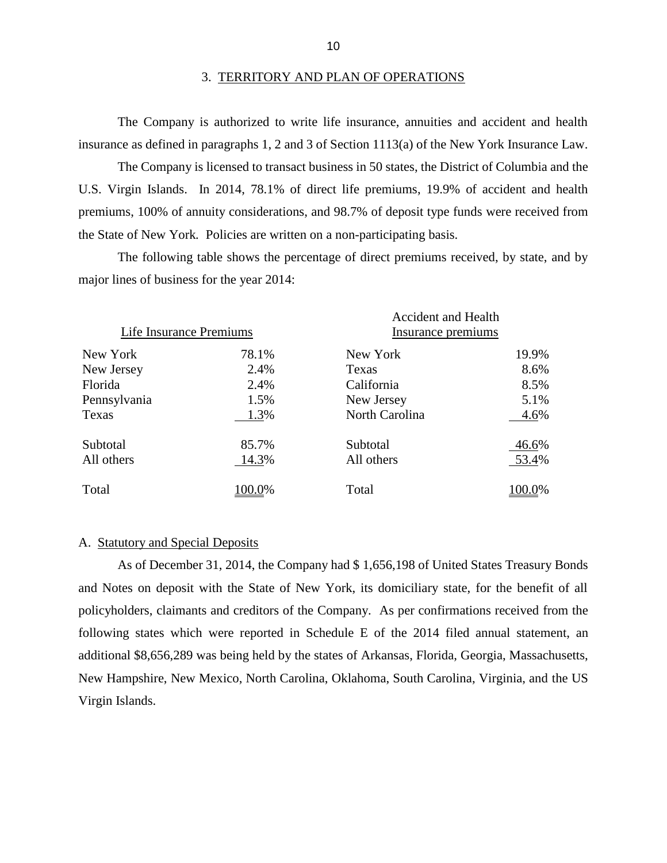The Company is authorized to write life insurance, annuities and accident and health insurance as defined in paragraphs 1, 2 and 3 of Section 1113(a) of the New York Insurance Law.

 U.S. Virgin Islands. In 2014, 78.1% of direct life premiums, 19.9% of accident and health premiums, 100% of annuity considerations, and 98.7% of deposit type funds were received from The Company is licensed to transact business in 50 states, the District of Columbia and the the State of New York*.* Policies are written on a non-participating basis.

 The following table shows the percentage of direct premiums received, by state, and by major lines of business for the year 2014:

|                         |        | <b>Accident and Health</b> |        |
|-------------------------|--------|----------------------------|--------|
| Life Insurance Premiums |        | Insurance premiums         |        |
| New York                | 78.1%  | New York                   | 19.9%  |
| New Jersey              | 2.4%   | Texas                      | 8.6%   |
| Florida                 | 2.4%   | California                 | 8.5%   |
| Pennsylvania            | 1.5%   | New Jersey                 | 5.1%   |
| Texas                   | 1.3%   | North Carolina             | 4.6%   |
| Subtotal                | 85.7%  | Subtotal                   | 46.6%  |
| All others              | 14.3%  | All others                 | 53.4%  |
| Total                   | 100.0% | Total                      | 100.0% |

#### A. Statutory and Special Deposits

 and Notes on deposit with the State of New York, its domiciliary state, for the benefit of all following states which were reported in Schedule E of the 2014 filed annual statement, an additional \$8,656,289 was being held by the states of Arkansas, Florida, Georgia, Massachusetts, New Hampshire, New Mexico, North Carolina, Oklahoma, South Carolina, Virginia, and the US As of December 31, 2014, the Company had \$ 1,656,198 of United States Treasury Bonds policyholders, claimants and creditors of the Company. As per confirmations received from the Virgin Islands.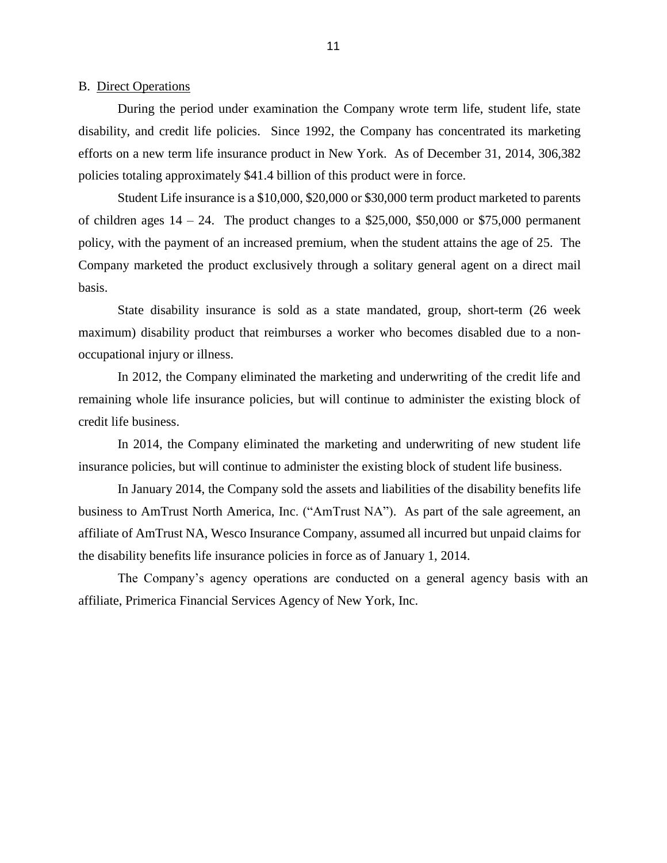<span id="page-13-0"></span>B. Direct Operations

 disability, and credit life policies. Since 1992, the Company has concentrated its marketing efforts on a new term life insurance product in New York. As of December 31, 2014, 306,382 During the period under examination the Company wrote term life, student life, state policies totaling approximately \$41.4 billion of this product were in force.

 Student Life insurance is a \$10,000, \$20,000 or \$30,000 term product marketed to parents of children ages  $14 - 24$ . The product changes to a \$25,000, \$50,000 or \$75,000 permanent policy, with the payment of an increased premium, when the student attains the age of 25. The Company marketed the product exclusively through a solitary general agent on a direct mail basis.

 State disability insurance is sold as a state mandated, group, short-term (26 week maximum) disability product that reimburses a worker who becomes disabled due to a nonoccupational injury or illness.

 In 2012, the Company eliminated the marketing and underwriting of the credit life and remaining whole life insurance policies, but will continue to administer the existing block of credit life business.

 In 2014, the Company eliminated the marketing and underwriting of new student life insurance policies, but will continue to administer the existing block of student life business.

 In January 2014, the Company sold the assets and liabilities of the disability benefits life affiliate of AmTrust NA, Wesco Insurance Company, assumed all incurred but unpaid claims for the disability benefits life insurance policies in force as of January 1, 2014. business to AmTrust North America, Inc. ("AmTrust NA"). As part of the sale agreement, an

 The Company's agency operations are conducted on a general agency basis with an affiliate, Primerica Financial Services Agency of New York, Inc.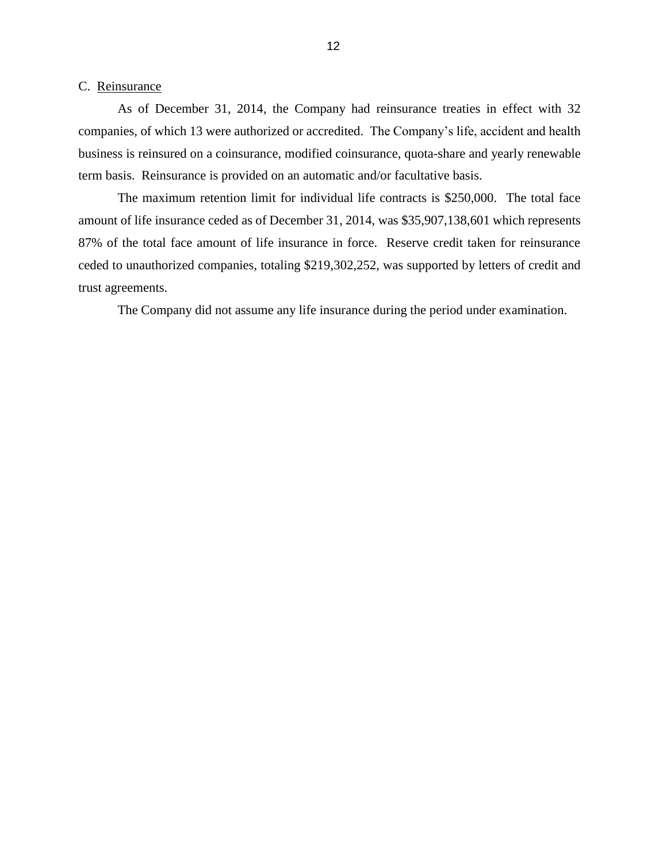#### <span id="page-14-0"></span>C. Reinsurance

 companies, of which 13 were authorized or accredited. The Company's life, accident and health As of December 31, 2014, the Company had reinsurance treaties in effect with 32 business is reinsured on a coinsurance, modified coinsurance, quota-share and yearly renewable term basis. Reinsurance is provided on an automatic and/or facultative basis.

 The maximum retention limit for individual life contracts is \$250,000. The total face amount of life insurance ceded as of December 31, 2014, was \$35,907,138,601 which represents 87% of the total face amount of life insurance in force. Reserve credit taken for reinsurance ceded to unauthorized companies, totaling \$219,302,252, was supported by letters of credit and trust agreements.

The Company did not assume any life insurance during the period under examination.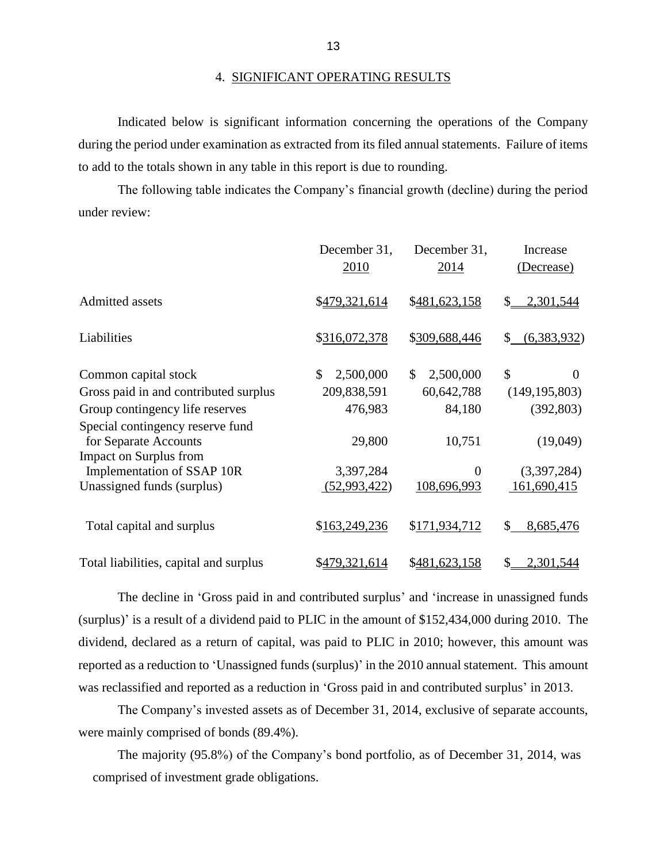during the period under examination as extracted from its filed annual statements. Failure of items Indicated below is significant information concerning the operations of the Company to add to the totals shown in any table in this report is due to rounding.

 The following table indicates the Company's financial growth (decline) during the period under review:

|                                        | December 31,    | December 31,    | Increase                  |
|----------------------------------------|-----------------|-----------------|---------------------------|
|                                        | 2010            | 2014            | (Decrease)                |
| <b>Admitted assets</b>                 | \$479,321,614   | \$481,623,158   | 2,301,544<br>\$           |
| Liabilities                            | \$316,072,378   | \$309,688,446   | (6,383,932)<br>\$.        |
| Common capital stock                   | \$<br>2,500,000 | 2,500,000<br>\$ | $\mathcal{S}$<br>$\Omega$ |
| Gross paid in and contributed surplus  | 209,838,591     | 60,642,788      | (149, 195, 803)           |
| Group contingency life reserves        | 476,983         | 84,180          | (392, 803)                |
| Special contingency reserve fund       |                 |                 |                           |
| for Separate Accounts                  | 29,800          | 10,751          | (19,049)                  |
| Impact on Surplus from                 |                 |                 |                           |
| Implementation of SSAP 10R             | 3,397,284       | $\overline{0}$  | (3,397,284)               |
| Unassigned funds (surplus)             | (52,993,422)    | 108,696,993     | 161,690,415               |
| Total capital and surplus              | \$163,249,236   | \$171,934,712   | 8,685,476<br>\$.          |
| Total liabilities, capital and surplus | \$479,321,614   | \$481,623,158   | 2,301,544<br>\$           |

 The decline in 'Gross paid in and contributed surplus' and 'increase in unassigned funds (surplus)' is a result of a dividend paid to PLIC in the amount of \$152,434,000 during 2010. The dividend, declared as a return of capital, was paid to PLIC in 2010; however, this amount was reported as a reduction to 'Unassigned funds (surplus)' in the 2010 annual statement. This amount was reclassified and reported as a reduction in 'Gross paid in and contributed surplus' in 2013.

 The Company's invested assets as of December 31, 2014, exclusive of separate accounts, were mainly comprised of bonds (89.4%).

 The majority (95.8%) of the Company's bond portfolio, as of December 31, 2014, was comprised of investment grade obligations.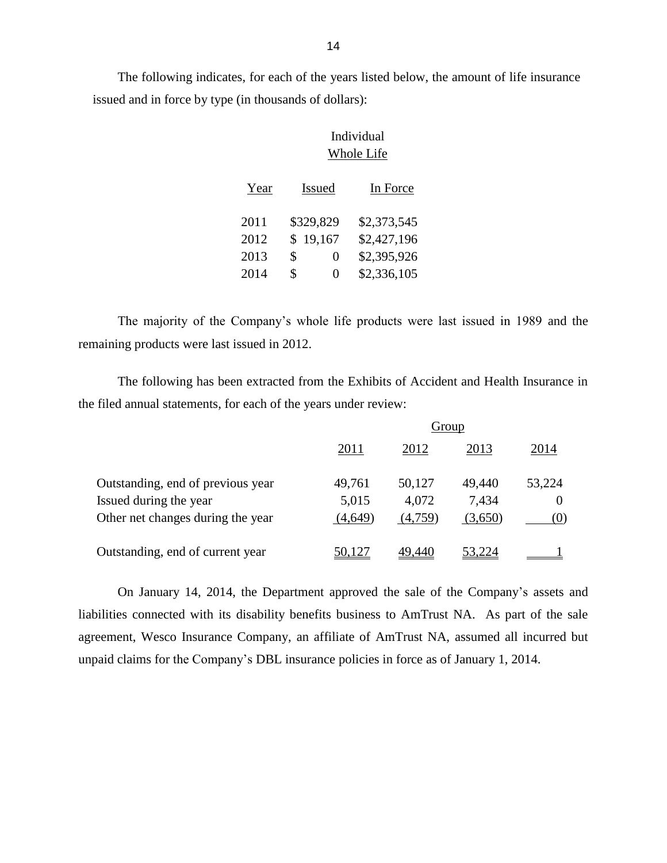The following indicates, for each of the years listed below, the amount of life insurance issued and in force by type (in thousands of dollars):

# Individual Whole Life Year Issued In Force 2011 \$329,829 \$2,373,545 2012 \$ 19,167 \$2,427,196 2013 \$ 0 \$2,395,926

 The majority of the Company's whole life products were last issued in 1989 and the remaining products were last issued in 2012. remaining products were last issued in 2012.<br>The following has been extracted from the Exhibits of Accident and Health Insurance in

2014 \$ 0 \$2,336,105

the filed annual statements, for each of the years under review:

|                                   | Group   |         |         |        |
|-----------------------------------|---------|---------|---------|--------|
|                                   | 2011    | 2012    | 2013    | 2014   |
| Outstanding, end of previous year | 49,761  | 50,127  | 49,440  | 53,224 |
| Issued during the year            | 5,015   | 4,072   | 7,434   |        |
| Other net changes during the year | (4,649) | (4,759) | (3,650) | (0)    |
| Outstanding, end of current year  |         |         | .224    |        |

 liabilities connected with its disability benefits business to AmTrust NA. As part of the sale agreement, Wesco Insurance Company, an affiliate of AmTrust NA, assumed all incurred but On January 14, 2014, the Department approved the sale of the Company's assets and unpaid claims for the Company's DBL insurance policies in force as of January 1, 2014.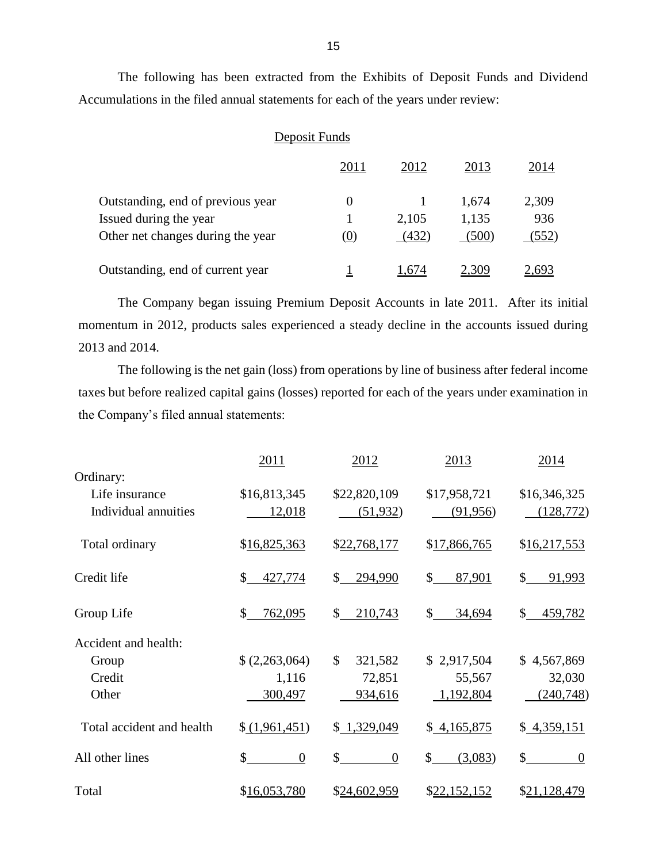The following has been extracted from the Exhibits of Deposit Funds and Dividend Accumulations in the filed annual statements for each of the years under review:

### Deposit Funds

|                                   |          | 2012  | 2013  | 2014  |
|-----------------------------------|----------|-------|-------|-------|
| Outstanding, end of previous year | $\theta$ |       | 1.674 | 2,309 |
| Issued during the year            |          | 2,105 | 1,135 | 936   |
| Other net changes during the year | (0)      | (432) | (500) | (552) |
| Outstanding, end of current year  |          | .674  | 2.309 | -693  |

 The Company began issuing Premium Deposit Accounts in late 2011. After its initial momentum in 2012, products sales experienced a steady decline in the accounts issued during 2013 and 2014.

 The following is the net gain (loss) from operations by line of business after federal income taxes but before realized capital gains (losses) reported for each of the years under examination in the Company's filed annual statements:

|                           | 2011                    | 2012                              | 2013                     | 2014                   |
|---------------------------|-------------------------|-----------------------------------|--------------------------|------------------------|
| Ordinary:                 |                         |                                   |                          |                        |
| Life insurance            | \$16,813,345            | \$22,820,109                      | \$17,958,721             | \$16,346,325           |
| Individual annuities      | 12,018                  | (51,932)                          | (91,956)                 | (128, 772)             |
| Total ordinary            | \$16,825,363            | \$22,768,177                      | \$17,866,765             | \$16,217,553           |
| Credit life               | $\mathbb{S}$<br>427,774 | \$<br>294,990                     | $\mathbb{S}^-$<br>87,901 | \$<br>91,993           |
| Group Life                | \$<br>762,095           | $\mathbb{S}$<br>210,743           | $\mathbb{S}$<br>34,694   | \$<br>459,782          |
| Accident and health:      |                         |                                   |                          |                        |
| Group                     | (2,263,064)             | $\mathcal{S}$<br>321,582          | \$2,917,504              | \$4,567,869            |
| Credit                    | 1,116                   | 72,851                            | 55,567                   | 32,030                 |
| Other                     | 300,497                 | 934,616                           | 1,192,804                | (240,748)              |
| Total accident and health | (1,961,451)             | \$1,329,049                       | \$4,165,875              | \$4,359,151            |
| All other lines           | \$<br>$\boldsymbol{0}$  | $\mathcal{S}$<br>$\boldsymbol{0}$ | $\mathbb{S}$<br>(3,083)  | \$<br>$\boldsymbol{0}$ |
| Total                     | \$16,053,780            | \$24,602,959                      | \$22,152,152             | \$21,128,479           |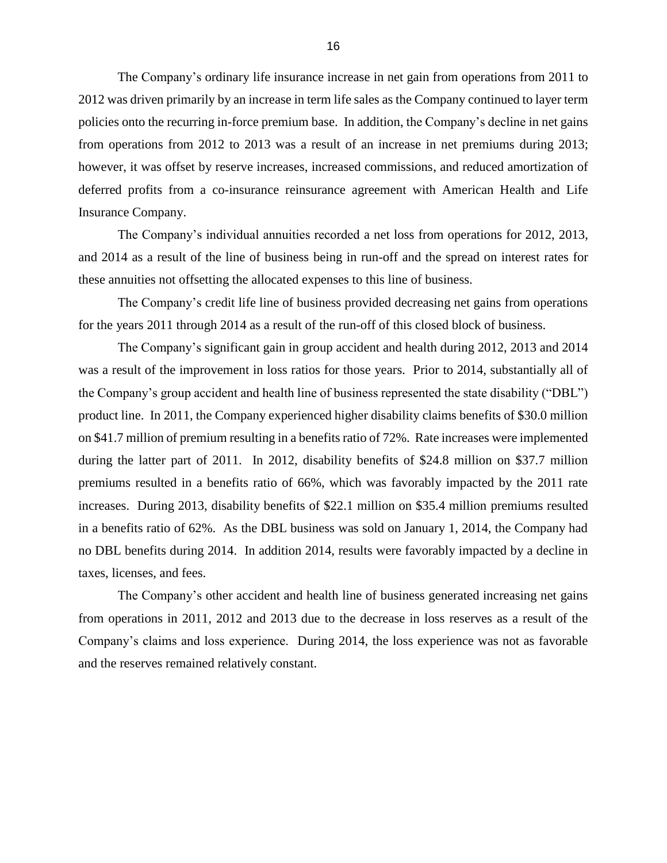The Company's ordinary life insurance increase in net gain from operations from 2011 to 2012 was driven primarily by an increase in term life sales as the Company continued to layer term policies onto the recurring in-force premium base. In addition, the Company's decline in net gains from operations from 2012 to 2013 was a result of an increase in net premiums during 2013; however, it was offset by reserve increases, increased commissions, and reduced amortization of deferred profits from a co-insurance reinsurance agreement with American Health and Life Insurance Company.

 The Company's individual annuities recorded a net loss from operations for 2012, 2013, and 2014 as a result of the line of business being in run-off and the spread on interest rates for these annuities not offsetting the allocated expenses to this line of business.

 The Company's credit life line of business provided decreasing net gains from operations for the years 2011 through 2014 as a result of the run-off of this closed block of business.

 was a result of the improvement in loss ratios for those years. Prior to 2014, substantially all of the Company's group accident and health line of business represented the state disability ("DBL") product line. In 2011, the Company experienced higher disability claims benefits of \$30.0 million on \$41.7 million of premium resulting in a benefits ratio of 72%. Rate increases were implemented during the latter part of 2011. In 2012, disability benefits of \$24.8 million on \$37.7 million increases. During 2013, disability benefits of \$22.1 million on \$35.4 million premiums resulted in a benefits ratio of 62%. As the DBL business was sold on January 1, 2014, the Company had no DBL benefits during 2014. In addition 2014, results were favorably impacted by a decline in The Company's significant gain in group accident and health during 2012, 2013 and 2014 premiums resulted in a benefits ratio of 66%, which was favorably impacted by the 2011 rate taxes, licenses, and fees.

 The Company's other accident and health line of business generated increasing net gains from operations in 2011, 2012 and 2013 due to the decrease in loss reserves as a result of the Company's claims and loss experience. During 2014, the loss experience was not as favorable and the reserves remained relatively constant.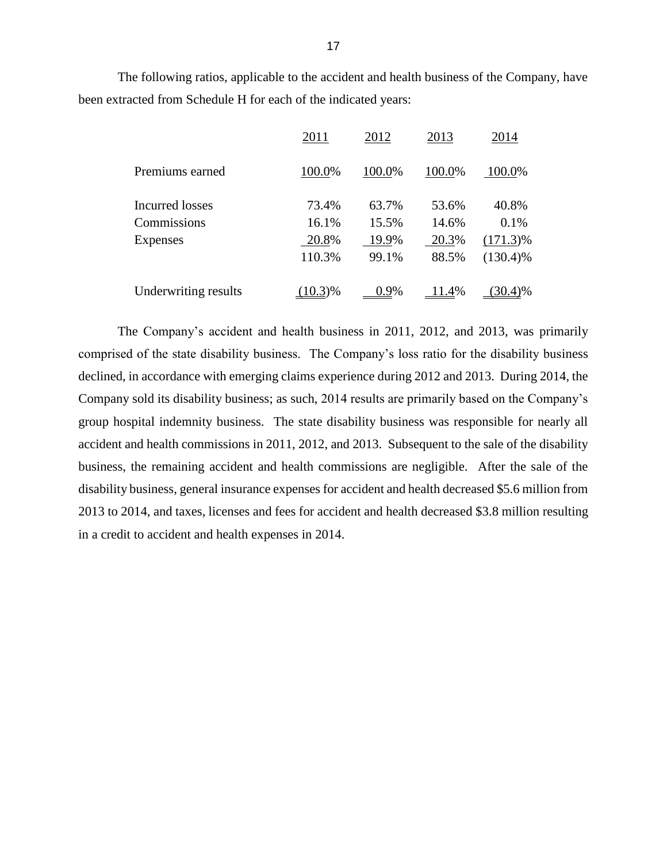The following ratios, applicable to the accident and health business of the Company, have been extracted from Schedule H for each of the indicated years:

|                      | 2011       | 2012   | 2013   | 2014        |
|----------------------|------------|--------|--------|-------------|
| Premiums earned      | 100.0%     | 100.0% | 100.0% | 100.0%      |
| Incurred losses      | 73.4%      | 63.7%  | 53.6%  | 40.8%       |
| Commissions          | 16.1%      | 15.5%  | 14.6%  | 0.1%        |
| <b>Expenses</b>      | 20.8%      | 19.9%  | 20.3%  | $(171.3)\%$ |
|                      | 110.3%     | 99.1%  | 88.5%  | $(130.4)\%$ |
| Underwriting results | $(10.3)\%$ | 0.9%   | 11.4%  | $(30.4)\%$  |

 The Company's accident and health business in 2011, 2012, and 2013, was primarily comprised of the state disability business. The Company's loss ratio for the disability business declined, in accordance with emerging claims experience during 2012 and 2013. During 2014, the group hospital indemnity business. The state disability business was responsible for nearly all accident and health commissions in 2011, 2012, and 2013. Subsequent to the sale of the disability business, the remaining accident and health commissions are negligible. After the sale of the disability business, general insurance expenses for accident and health decreased \$5.6 million from 2013 to 2014, and taxes, licenses and fees for accident and health decreased \$3.8 million resulting Company sold its disability business; as such, 2014 results are primarily based on the Company's in a credit to accident and health expenses in 2014.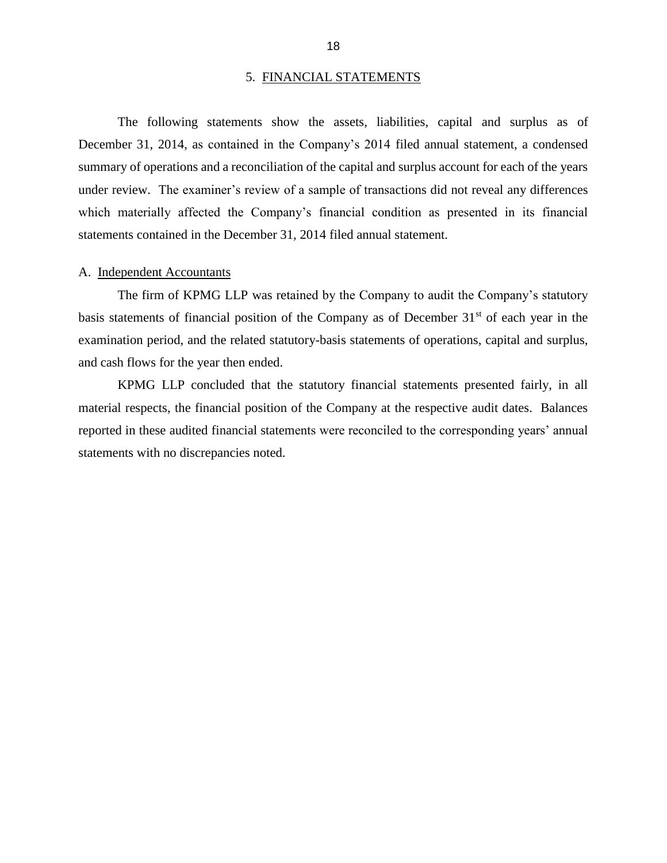#### 5. FINANCIAL STATEMENTS

<span id="page-20-0"></span> The following statements show the assets, liabilities, capital and surplus as of December 31, 2014, as contained in the Company's 2014 filed annual statement, a condensed summary of operations and a reconciliation of the capital and surplus account for each of the years under review. The examiner's review of a sample of transactions did not reveal any differences statements contained in the December 31, 2014 filed annual statement.<br>A. Independent Accountants which materially affected the Company's financial condition as presented in its financial

 The firm of KPMG LLP was retained by the Company to audit the Company's statutory basis statements of financial position of the Company as of December 31<sup>st</sup> of each year in the examination period, and the related statutory-basis statements of operations, capital and surplus, and cash flows for the year then ended.

 material respects, the financial position of the Company at the respective audit dates. Balances reported in these audited financial statements were reconciled to the corresponding years' annual KPMG LLP concluded that the statutory financial statements presented fairly, in all statements with no discrepancies noted.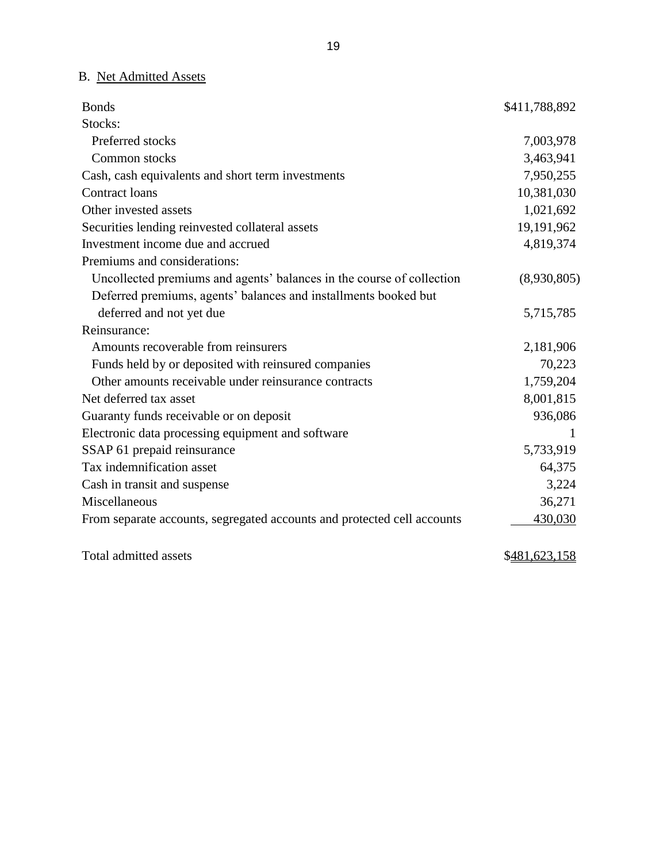## B. Net Admitted Assets

| <b>Bonds</b>                                                            | \$411,788,892 |
|-------------------------------------------------------------------------|---------------|
| Stocks:                                                                 |               |
| Preferred stocks                                                        | 7,003,978     |
| Common stocks                                                           | 3,463,941     |
| Cash, cash equivalents and short term investments                       | 7,950,255     |
| Contract loans                                                          | 10,381,030    |
| Other invested assets                                                   | 1,021,692     |
| Securities lending reinvested collateral assets                         | 19,191,962    |
| Investment income due and accrued                                       | 4,819,374     |
| Premiums and considerations:                                            |               |
| Uncollected premiums and agents' balances in the course of collection   | (8,930,805)   |
| Deferred premiums, agents' balances and installments booked but         |               |
| deferred and not yet due                                                | 5,715,785     |
| Reinsurance:                                                            |               |
| Amounts recoverable from reinsurers                                     | 2,181,906     |
| Funds held by or deposited with reinsured companies                     | 70,223        |
| Other amounts receivable under reinsurance contracts                    | 1,759,204     |
| Net deferred tax asset                                                  | 8,001,815     |
| Guaranty funds receivable or on deposit                                 | 936,086       |
| Electronic data processing equipment and software                       | 1             |
| SSAP 61 prepaid reinsurance                                             | 5,733,919     |
| Tax indemnification asset                                               | 64,375        |
| Cash in transit and suspense                                            | 3,224         |
| Miscellaneous                                                           | 36,271        |
| From separate accounts, segregated accounts and protected cell accounts | 430,030       |
| Total admitted assets                                                   | \$481,623,158 |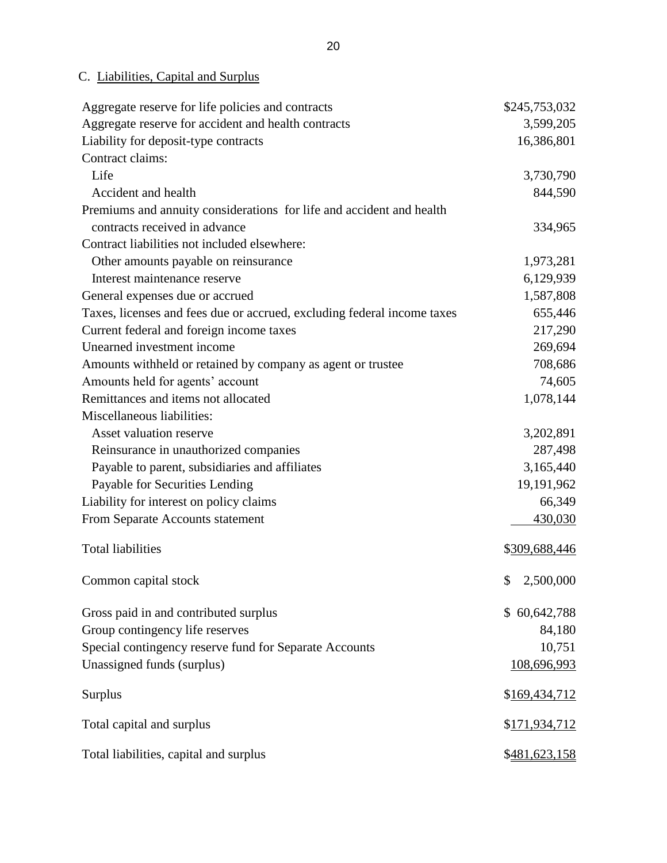## C. Liabilities, Capital and Surplus

| Aggregate reserve for life policies and contracts                       | \$245,753,032   |
|-------------------------------------------------------------------------|-----------------|
| Aggregate reserve for accident and health contracts                     | 3,599,205       |
| Liability for deposit-type contracts                                    | 16,386,801      |
| Contract claims:                                                        |                 |
| Life                                                                    | 3,730,790       |
| Accident and health                                                     | 844,590         |
| Premiums and annuity considerations for life and accident and health    |                 |
| contracts received in advance                                           | 334,965         |
| Contract liabilities not included elsewhere:                            |                 |
| Other amounts payable on reinsurance                                    | 1,973,281       |
| Interest maintenance reserve                                            | 6,129,939       |
| General expenses due or accrued                                         | 1,587,808       |
| Taxes, licenses and fees due or accrued, excluding federal income taxes | 655,446         |
| Current federal and foreign income taxes                                | 217,290         |
| Unearned investment income                                              | 269,694         |
| Amounts withheld or retained by company as agent or trustee             | 708,686         |
| Amounts held for agents' account                                        | 74,605          |
| Remittances and items not allocated                                     | 1,078,144       |
| Miscellaneous liabilities:                                              |                 |
| Asset valuation reserve                                                 | 3,202,891       |
| Reinsurance in unauthorized companies                                   | 287,498         |
| Payable to parent, subsidiaries and affiliates                          | 3,165,440       |
| Payable for Securities Lending                                          | 19,191,962      |
| Liability for interest on policy claims                                 | 66,349          |
| From Separate Accounts statement                                        | 430,030         |
| <b>Total liabilities</b>                                                | \$309,688,446   |
|                                                                         |                 |
| Common capital stock                                                    | \$<br>2,500,000 |
| Gross paid in and contributed surplus                                   | \$60,642,788    |
| Group contingency life reserves                                         | 84,180          |
| Special contingency reserve fund for Separate Accounts                  | 10,751          |
| Unassigned funds (surplus)                                              | 108,696,993     |
| Surplus                                                                 | \$169,434,712   |
| Total capital and surplus                                               | \$171,934,712   |
| Total liabilities, capital and surplus                                  | \$481,623,158   |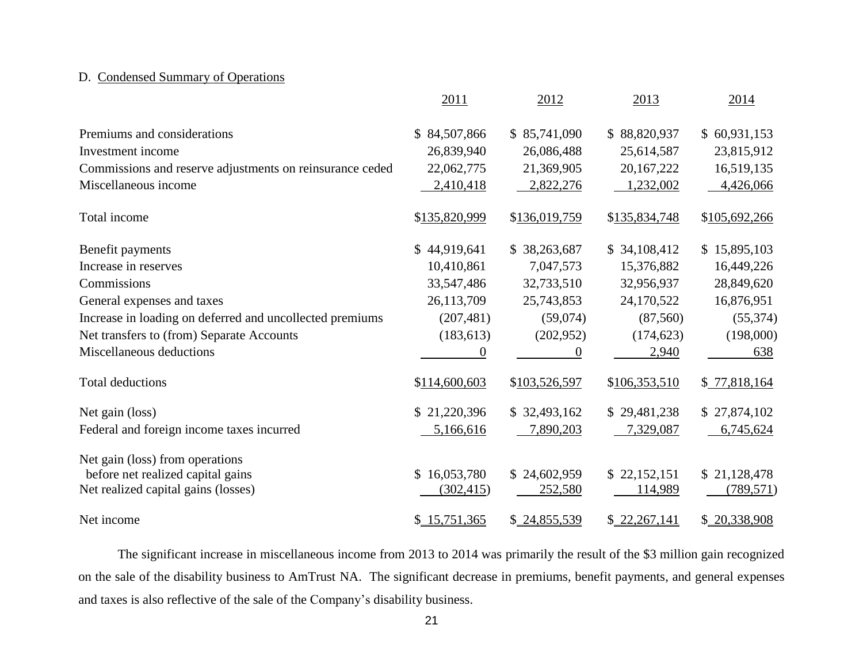### D. Condensed Summary of Operations

|                                                          | 2011                       | 2012          | 2013          | 2014          |
|----------------------------------------------------------|----------------------------|---------------|---------------|---------------|
| Premiums and considerations                              | 84,507,866<br>$\mathbb{S}$ | \$85,741,090  | \$88,820,937  | \$60,931,153  |
| Investment income                                        | 26,839,940                 | 26,086,488    | 25,614,587    | 23,815,912    |
| Commissions and reserve adjustments on reinsurance ceded | 22,062,775                 | 21,369,905    | 20, 167, 222  | 16,519,135    |
| Miscellaneous income                                     | 2,410,418                  | 2,822,276     | 1,232,002     | 4,426,066     |
| Total income                                             | \$135,820,999              | \$136,019,759 | \$135,834,748 | \$105,692,266 |
| Benefit payments                                         | \$44,919,641               | \$38,263,687  | \$34,108,412  | \$15,895,103  |
| Increase in reserves                                     | 10,410,861                 | 7,047,573     | 15,376,882    | 16,449,226    |
| Commissions                                              | 33,547,486                 | 32,733,510    | 32,956,937    | 28,849,620    |
| General expenses and taxes                               | 26,113,709                 | 25,743,853    | 24,170,522    | 16,876,951    |
| Increase in loading on deferred and uncollected premiums | (207, 481)                 | (59,074)      | (87, 560)     | (55, 374)     |
| Net transfers to (from) Separate Accounts                | (183, 613)                 | (202, 952)    | (174, 623)    | (198,000)     |
| Miscellaneous deductions                                 | 0                          | $\theta$      | 2,940         | 638           |
| <b>Total deductions</b>                                  | \$114,600,603              | \$103,526,597 | \$106,353,510 | \$77,818,164  |
| Net gain (loss)                                          | \$21,220,396               | \$32,493,162  | \$29,481,238  | \$27,874,102  |
| Federal and foreign income taxes incurred                | 5,166,616                  | 7,890,203     | 7,329,087     | 6,745,624     |
| Net gain (loss) from operations                          |                            |               |               |               |
| before net realized capital gains                        | 16,053,780<br>\$           | \$24,602,959  | \$22,152,151  | \$21,128,478  |
| Net realized capital gains (losses)                      | (302, 415)                 | 252,580       | 114,989       | (789, 571)    |
| Net income                                               | \$15,751,365               | \$24,855,539  | \$22,267,141  | \$20,338,908  |

 The significant increase in miscellaneous income from 2013 to 2014 was primarily the result of the \$3 million gain recognized on the sale of the disability business to AmTrust NA. The significant decrease in premiums, benefit payments, and general expenses and taxes is also reflective of the sale of the Company's disability business.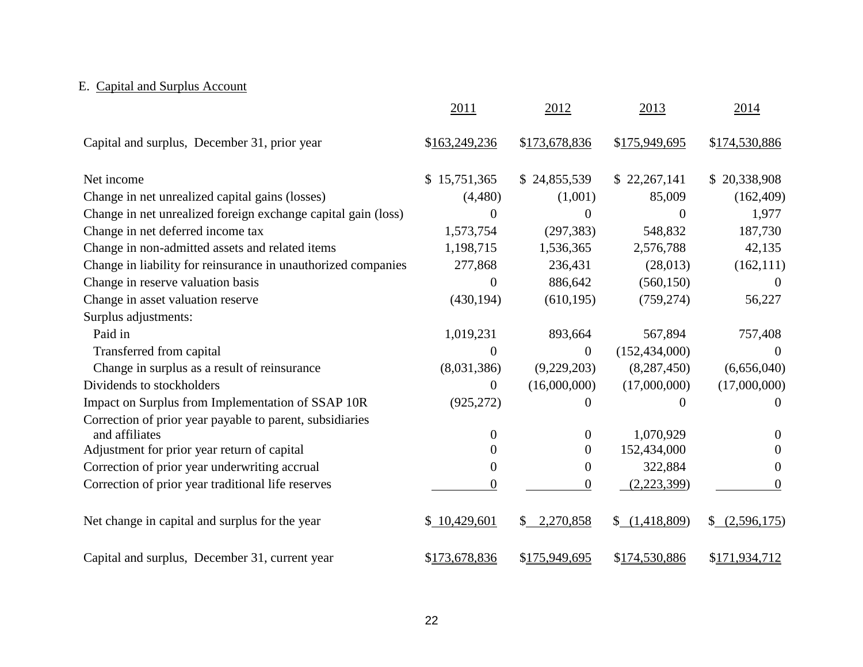# E. Capital and Surplus Account

|                                                               | 2011             | 2012                      | 2013            | 2014          |
|---------------------------------------------------------------|------------------|---------------------------|-----------------|---------------|
| Capital and surplus, December 31, prior year                  | \$163,249,236    | \$173,678,836             | \$175,949,695   | \$174,530,886 |
| Net income                                                    | \$15,751,365     | \$24,855,539              | \$22,267,141    | \$20,338,908  |
| Change in net unrealized capital gains (losses)               | (4,480)          | (1,001)                   | 85,009          | (162, 409)    |
| Change in net unrealized foreign exchange capital gain (loss) | 0                | 0                         | 0               | 1,977         |
| Change in net deferred income tax                             | 1,573,754        | (297, 383)                | 548,832         | 187,730       |
| Change in non-admitted assets and related items               | 1,198,715        | 1,536,365                 | 2,576,788       | 42,135        |
| Change in liability for reinsurance in unauthorized companies | 277,868          | 236,431                   | (28,013)        | (162, 111)    |
| Change in reserve valuation basis                             | 0                | 886,642                   | (560, 150)      |               |
| Change in asset valuation reserve                             | (430, 194)       | (610, 195)                | (759, 274)      | 56,227        |
| Surplus adjustments:                                          |                  |                           |                 |               |
| Paid in                                                       | 1,019,231        | 893,664                   | 567,894         | 757,408       |
| Transferred from capital                                      | 0                | $\boldsymbol{0}$          | (152, 434, 000) | $\theta$      |
| Change in surplus as a result of reinsurance                  | (8,031,386)      | (9,229,203)               | (8, 287, 450)   | (6,656,040)   |
| Dividends to stockholders                                     | $\boldsymbol{0}$ | (16,000,000)              | (17,000,000)    | (17,000,000)  |
| Impact on Surplus from Implementation of SSAP 10R             | (925, 272)       | 0                         | 0               | $\Omega$      |
| Correction of prior year payable to parent, subsidiaries      |                  |                           |                 |               |
| and affiliates                                                | 0                | $\theta$                  | 1,070,929       | $\theta$      |
| Adjustment for prior year return of capital                   | 0                | $\boldsymbol{0}$          | 152,434,000     | 0             |
| Correction of prior year underwriting accrual                 | 0                | $\boldsymbol{0}$          | 322,884         | $\theta$      |
| Correction of prior year traditional life reserves            | 0                | 0                         | (2,223,399)     | 0             |
| Net change in capital and surplus for the year                | \$10,429,601     | 2,270,858<br>$\mathbb{S}$ | \$(1,418,809)   | \$(2,596,175) |
| Capital and surplus, December 31, current year                | \$173,678,836    | \$175,949,695             | \$174,530,886   | \$171,934,712 |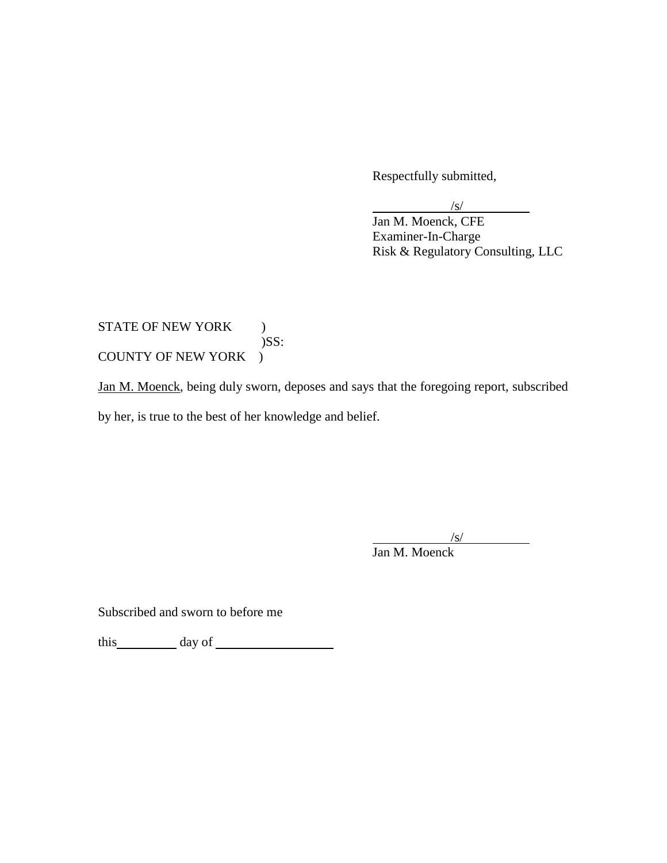Respectfully submitted,

/s/

Jan M. Moenck, CFE Examiner-In-Charge Risk & Regulatory Consulting, LLC

## COUNTY OF NEW YORK ) STATE OF NEW YORK ) )SS:

COUNTY OF NEW YORK )<br>Jan M. Moenck, being duly sworn, deposes and says that the foregoing report, subscribed by her, is true to the best of her knowledge and belief.

/s/

Jan M. Moenck

Subscribed and sworn to before me

this day of